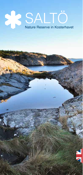## Nature Reserve in Kosterha Nature Reserve in Kosterhavet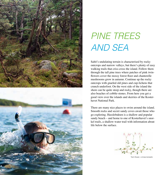

# PINE TREES AND SEA

Saltö's undulating terrain is characterised by rocky outcrops and narrow valleys, but there's plenty of easy walking trails that criss-cross the island. Follow them through the tall pine trees where patches of pink twinflowers cover the mossy forest floor and chanterelle mushrooms grow in autumn. Continue up the rocky outcrops with gnarled old pines and cup-lichens that crunch underfoot. On the west side of the island the shore can be quite steep and rocky, though there are also beaches of cobble-stones. From here you get a good view over the islands and skerries of the Kosterhavet National Park.

There are many nice places to swim around the island. Smooth rocks and secret sandy coves await those who go exploring. Hasslebukten is a shallow and popular sandy beach – and home to one of Kosterhavet's snorkel trails, a shallow-water trail with information about life below the surface.



Twin-flower, Linnea borealis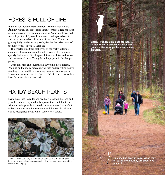#### **FORESTS FULL OF LIFE**

In the valleys toward Hasslebukten, Danmarksbukten and Ängklåvbukten, tall pines form stately forests. There are large populations of evergreen plants such as Arctic starflower and several species of *Pyrola*. In summer, heath spotted orchid and other protected orchid species flower here. The trees grow quickly on these sandy soils; despite their size, most of them are "only" about 80 years old.

The gnarled pine trees that grow on the rocky outcrops are much older, often several hundred years. Here you can quickly find yourself in old-growth forest with twisted trunks and over-turned trees. Young fir saplings grow in the damper places.

Deer, fox, hare and squirrels all thrive in Saltö's forests. Walking on the rocky outcrops, you may suddenly find you're standing in the middle of steaming fresh moose droppings! Year-round you can hear the "*perrerritt*" of crested tits as they look for insects in the tree-bark.

#### HARDY BEACH PI ANTS

Lyme grass, sea lavender and sea holly grow on the sand and gravel beaches. They are hardy species that can tolerate the wind and salt-spray. In the sandy meadows look for catsfoot, milkwort and Nottingham catchfly, which grows in tufts and can be recognized by its white, deeply cleft petals.



The thistle-like sea holly is a protected species and is rare on Saltö. The blue-green leaves have a waxy coating that protects them against the wind and salt-spray.

Karin Björk

**Listen - woodpeckers peck for insects in tree trunks. Black woodpecker and great spotted woodpecker are common on Saltö.**

> **Pine needles grow in pairs. When they**  fall to the ground, they are about five **years old.**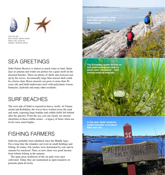

From the left Blue mussel. Mytilus edulis Bazor clam Frisis sp. Seastar, Asterias rubens

### SFA GREETINGS

Saltö Nature Reserve is almost as much water as land. Quiet days in autumn and winter are perfect for a quiet stroll on the deserted beaches. There are plenty of shells and seaweed cast up by the waves. An unusually large blue mussel shell could be a horse clam. Horse mussels can grow to more than 50 years old, and build underwater reefs with polychaete worms, barnacles, hydroids and many other residents.

#### SURE BEACHES

The west side of Saltö is exposed to heavy swells. At Vinnarstrand and Kobukten, the waves have washed away the sand and earth, exposing large boulder and cobble fields left behind after the glaciers. From the sea, you can clearly see ancient shorelines in these cobble-stones – a legacy of times when sea levels were much higher.

### **FISHING FARMERS**

Saltö has probably been inhabited since the Middle Ages. For a long time the islanders survived on small-holdings and fishing. In winter, fish catches were dominated by cod, and in summer by mackerel. Then, as now, there was good income from lobster fishing in the autumn.

The open areas northwest of the car park were once cultivated. Today they are maintained as open meadows to promote plant diversity.

Anders Tysklind

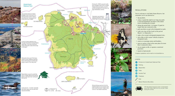

Matti Åhlund Anders Tysklind Anders Tysklind Anders Tysklind Anders Tysklind Anders Tysklind Susanne Liljenström

#### **REGULATIONS**

You're welcome to visit Saltö Nature Reserve, but remember you're not allowed to:

 $\bullet$  dig up plants,

Susanne Liljenström

Anders Tysklind

Anders Tysklind

- camp, or spend the night in (or long-stay park) a caravan/motorhome anywhere in the nature reserve including the car park,
- during the period July 1 to August 15 park for longer than one consecutive day,
- park anywhere except in the designated car park,
- walk your dog off the leash in the period March 1 to September 1,
- make a fire except in designated prepared sites,
- ride a bike or drive motor vehicles except on designated roads,
- remove or rearrange stones and boulders,
- moor or anchor a boat in the same place for more than 2 consecutive days,
- run an engine at idle, or operate a motorised generator,
- launch or land aircraft.

*Complete regulations can be read at www.kosterhavet.se*



TIP! Visit Tjärnö Aquarium at the "Lovéncentret", about 500 meters walk from the car park. Open during the summer.